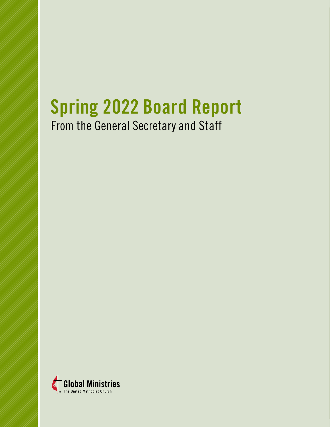# From the General Secretary and Staff **Spring 2022 Board Report**

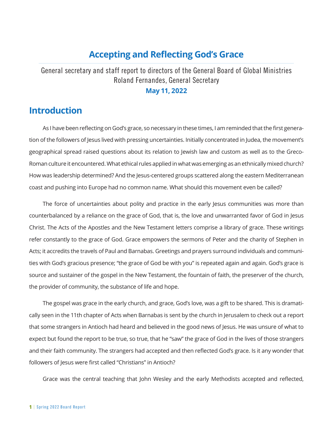## **Accepting and Reflecting God's Grace**

General secretary and staff report to directors of the General Board of Global Ministries Roland Fernandes, General Secretary

#### **May 11, 2022**

### **Introduction**

As I have been reflecting on God's grace, so necessary in these times, I am reminded that the first generation of the followers of Jesus lived with pressing uncertainties. Initially concentrated in Judea, the movement's geographical spread raised questions about its relation to Jewish law and custom as well as to the Greco-Roman culture it encountered. What ethical rules applied in what was emerging as an ethnically mixed church? How was leadership determined? And the Jesus-centered groups scattered along the eastern Mediterranean coast and pushing into Europe had no common name. What should this movement even be called?

The force of uncertainties about polity and practice in the early Jesus communities was more than counterbalanced by a reliance on the grace of God, that is, the love and unwarranted favor of God in Jesus Christ. The Acts of the Apostles and the New Testament letters comprise a library of grace. These writings refer constantly to the grace of God. Grace empowers the sermons of Peter and the charity of Stephen in Acts; it accredits the travels of Paul and Barnabas. Greetings and prayers surround individuals and communities with God's gracious presence; "the grace of God be with you" is repeated again and again. God's grace is source and sustainer of the gospel in the New Testament, the fountain of faith, the preserver of the church, the provider of community, the substance of life and hope.

The gospel was grace in the early church, and grace, God's love, was a gift to be shared. This is dramatically seen in the 11th chapter of Acts when Barnabas is sent by the church in Jerusalem to check out a report that some strangers in Antioch had heard and believed in the good news of Jesus. He was unsure of what to expect but found the report to be true, so true, that he "saw" the grace of God in the lives of those strangers and their faith community. The strangers had accepted and then reflected God's grace. Is it any wonder that followers of Jesus were first called "Christians" in Antioch?

Grace was the central teaching that John Wesley and the early Methodists accepted and reflected,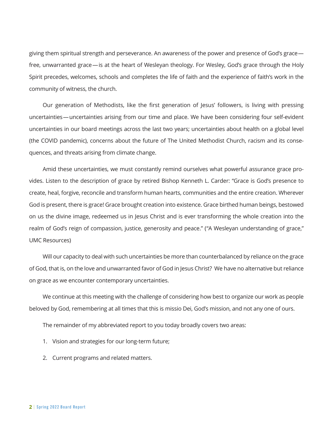giving them spiritual strength and perseverance. An awareness of the power and presence of God's grace free, unwarranted grace—is at the heart of Wesleyan theology. For Wesley, God's grace through the Holy Spirit precedes, welcomes, schools and completes the life of faith and the experience of faith's work in the community of witness, the church.

Our generation of Methodists, like the first generation of Jesus' followers, is living with pressing uncertainties—uncertainties arising from our time and place. We have been considering four self-evident uncertainties in our board meetings across the last two years; uncertainties about health on a global level (the COVID pandemic), concerns about the future of The United Methodist Church, racism and its consequences, and threats arising from climate change.

Amid these uncertainties, we must constantly remind ourselves what powerful assurance grace provides. Listen to the description of grace by retired Bishop Kenneth L. Carder: "Grace is God's presence to create, heal, forgive, reconcile and transform human hearts, communities and the entire creation. Wherever God is present, there is grace! Grace brought creation into existence. Grace birthed human beings, bestowed on us the divine image, redeemed us in Jesus Christ and is ever transforming the whole creation into the realm of God's reign of compassion, justice, generosity and peace." ("A Wesleyan understanding of grace," UMC Resources)

Will our capacity to deal with such uncertainties be more than counterbalanced by reliance on the grace of God, that is, on the love and unwarranted favor of God in Jesus Christ? We have no alternative but reliance on grace as we encounter contemporary uncertainties.

We continue at this meeting with the challenge of considering how best to organize our work as people beloved by God, remembering at all times that this is missio Dei, God's mission, and not any one of ours.

The remainder of my abbreviated report to you today broadly covers two areas:

- 1. Vision and strategies for our long-term future;
- 2. Current programs and related matters.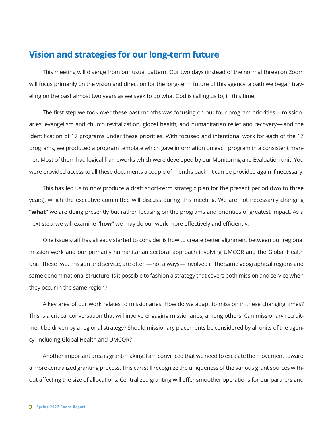## **Vision and strategies for our long-term future**

This meeting will diverge from our usual pattern. Our two days (instead of the normal three) on Zoom will focus primarily on the vision and direction for the long-term future of this agency, a path we began traveling on the past almost two years as we seek to do what God is calling us to, in this time.

The first step we took over these past months was focusing on our four program priorities— missionaries, evangelism and church revitalization, global health, and humanitarian relief and recovery—and the identification of 17 programs under these priorities. With focused and intentional work for each of the 17 programs, we produced a program template which gave information on each program in a consistent manner. Most of them had logical frameworks which were developed by our Monitoring and Evaluation unit. You were provided access to all these documents a couple of months back. It can be provided again if necessary.

This has led us to now produce a draft short-term strategic plan for the present period (two to three years), which the executive committee will discuss during this meeting. We are not necessarily changing **"what"** we are doing presently but rather focusing on the programs and priorities of greatest impact. As a next step, we will examine **"how"** we may do our work more effectively and efficiently.

One issue staff has already started to consider is how to create better alignment between our regional mission work and our primarily humanitarian sectoral approach involving UMCOR and the Global Health unit. These two, mission and service, are often—not always—involved in the same geographical regions and same denominational structure. Is it possible to fashion a strategy that covers both mission and service when they occur in the same region?

A key area of our work relates to missionaries. How do we adapt to mission in these changing times? This is a critical conversation that will involve engaging missionaries, among others. Can missionary recruitment be driven by a regional strategy? Should missionary placements be considered by all units of the agency, including Global Health and UMCOR?

Another important area is grant-making. I am convinced that we need to escalate the movement toward a more centralized granting process. This can still recognize the uniqueness of the various grant sources without affecting the size of allocations. Centralized granting will offer smoother operations for our partners and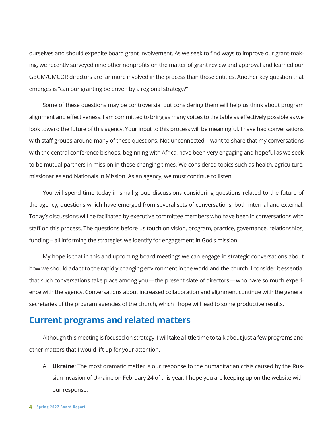ourselves and should expedite board grant involvement. As we seek to find ways to improve our grant-making, we recently surveyed nine other nonprofits on the matter of grant review and approval and learned our GBGM/UMCOR directors are far more involved in the process than those entities. Another key question that emerges is "can our granting be driven by a regional strategy?"

Some of these questions may be controversial but considering them will help us think about program alignment and effectiveness. I am committed to bring as many voices to the table as effectively possible as we look toward the future of this agency. Your input to this process will be meaningful. I have had conversations with staff groups around many of these questions. Not unconnected, I want to share that my conversations with the central conference bishops, beginning with Africa, have been very engaging and hopeful as we seek to be mutual partners in mission in these changing times. We considered topics such as health, agriculture, missionaries and Nationals in Mission. As an agency, we must continue to listen.

You will spend time today in small group discussions considering questions related to the future of the agency; questions which have emerged from several sets of conversations, both internal and external. Today's discussions will be facilitated by executive committee members who have been in conversations with staff on this process. The questions before us touch on vision, program, practice, governance, relationships, funding – all informing the strategies we identify for engagement in God's mission.

My hope is that in this and upcoming board meetings we can engage in strategic conversations about how we should adapt to the rapidly changing environment in the world and the church. I consider it essential that such conversations take place among you—the present slate of directors—who have so much experience with the agency. Conversations about increased collaboration and alignment continue with the general secretaries of the program agencies of the church, which I hope will lead to some productive results.

## **Current programs and related matters**

Although this meeting is focused on strategy, I will take a little time to talk about just a few programs and other matters that I would lift up for your attention.

A. **Ukraine**: The most dramatic matter is our response to the humanitarian crisis caused by the Russian invasion of Ukraine on February 24 of this year. I hope you are keeping up on the website with our response.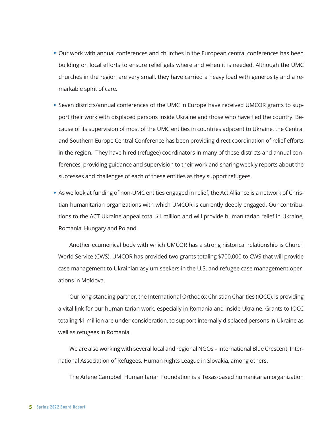- Our work with annual conferences and churches in the European central conferences has been building on local efforts to ensure relief gets where and when it is needed. Although the UMC churches in the region are very small, they have carried a heavy load with generosity and a remarkable spirit of care.
- Seven districts/annual conferences of the UMC in Europe have received UMCOR grants to support their work with displaced persons inside Ukraine and those who have fled the country. Because of its supervision of most of the UMC entities in countries adjacent to Ukraine, the Central and Southern Europe Central Conference has been providing direct coordination of relief efforts in the region. They have hired (refugee) coordinators in many of these districts and annual conferences, providing guidance and supervision to their work and sharing weekly reports about the successes and challenges of each of these entities as they support refugees.
- As we look at funding of non-UMC entities engaged in relief, the Act Alliance is a network of Christian humanitarian organizations with which UMCOR is currently deeply engaged. Our contributions to the ACT Ukraine appeal total \$1 million and will provide humanitarian relief in Ukraine, Romania, Hungary and Poland.

Another ecumenical body with which UMCOR has a strong historical relationship is Church World Service (CWS). UMCOR has provided two grants totaling \$700,000 to CWS that will provide case management to Ukrainian asylum seekers in the U.S. and refugee case management operations in Moldova.

Our long-standing partner, the International Orthodox Christian Charities (IOCC), is providing a vital link for our humanitarian work, especially in Romania and inside Ukraine. Grants to IOCC totaling \$1 million are under consideration, to support internally displaced persons in Ukraine as well as refugees in Romania.

We are also working with several local and regional NGOs – International Blue Crescent, International Association of Refugees, Human Rights League in Slovakia, among others.

The Arlene Campbell Humanitarian Foundation is a Texas-based humanitarian organization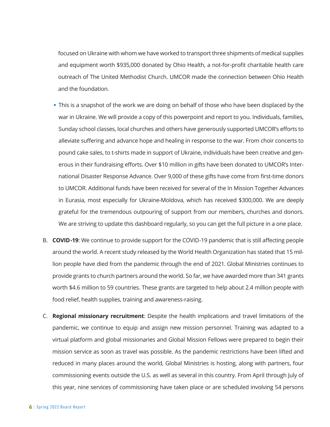focused on Ukraine with whom we have worked to transport three shipments of medical supplies and equipment worth \$935,000 donated by Ohio Health, a not-for-profit charitable health care outreach of The United Methodist Church. UMCOR made the connection between Ohio Health and the foundation.

- This is a snapshot of the work we are doing on behalf of those who have been displaced by the war in Ukraine. We will provide a copy of this powerpoint and report to you. Individuals, families, Sunday school classes, local churches and others have generously supported UMCOR's efforts to alleviate suffering and advance hope and healing in response to the war. From choir concerts to pound cake sales, to t-shirts made in support of Ukraine, individuals have been creative and generous in their fundraising efforts. Over \$10 million in gifts have been donated to UMCOR's International Disaster Response Advance. Over 9,000 of these gifts have come from first-time donors to UMCOR. Additional funds have been received for several of the In Mission Together Advances in Eurasia, most especially for Ukraine-Moldova, which has received \$300,000. We are deeply grateful for the tremendous outpouring of support from our members, churches and donors. We are striving to update this dashboard regularly, so you can get the full picture in a one place.
- B. **COVID-19**: We continue to provide support for the COVID-19 pandemic that is still affecting people around the world. A recent study released by the World Health Organization has stated that 15 million people have died from the pandemic through the end of 2021. Global Ministries continues to provide grants to church partners around the world. So far, we have awarded more than 341 grants worth \$4.6 million to 59 countries. These grants are targeted to help about 2.4 million people with food relief, health supplies, training and awareness-raising.
- C. **Regional missionary recruitment**: Despite the health implications and travel limitations of the pandemic, we continue to equip and assign new mission personnel. Training was adapted to a virtual platform and global missionaries and Global Mission Fellows were prepared to begin their mission service as soon as travel was possible. As the pandemic restrictions have been lifted and reduced in many places around the world, Global Ministries is hosting, along with partners, four commissioning events outside the U.S. as well as several in this country. From April through July of this year, nine services of commissioning have taken place or are scheduled involving 54 persons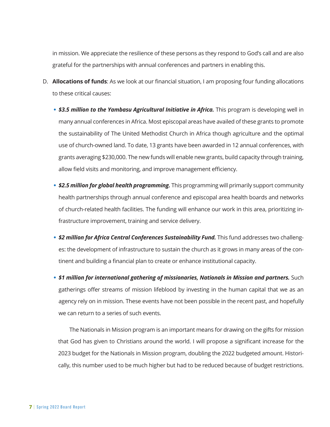in mission. We appreciate the resilience of these persons as they respond to God's call and are also grateful for the partnerships with annual conferences and partners in enabling this.

- D. **Allocations of funds**: As we look at our financial situation, I am proposing four funding allocations to these critical causes:
	- \$3.5 million to the Yambasu Agricultural Initiative in Africa. This program is developing well in many annual conferences in Africa. Most episcopal areas have availed of these grants to promote the sustainability of The United Methodist Church in Africa though agriculture and the optimal use of church-owned land. To date, 13 grants have been awarded in 12 annual conferences, with grants averaging \$230,000. The new funds will enable new grants, build capacity through training, allow field visits and monitoring, and improve management efficiency.
	- **\$2.5 million for global health programming.** This programming will primarily support community health partnerships through annual conference and episcopal area health boards and networks of church-related health facilities. The funding will enhance our work in this area, prioritizing infrastructure improvement, training and service delivery.
	- **\$2 million for Africa Central Conferences Sustainability Fund.** This fund addresses two challenges: the development of infrastructure to sustain the church as it grows in many areas of the continent and building a financial plan to create or enhance institutional capacity.
	- **\$1 million for international gathering of missionaries, Nationals in Mission and partners.** Such gatherings offer streams of mission lifeblood by investing in the human capital that we as an agency rely on in mission. These events have not been possible in the recent past, and hopefully we can return to a series of such events.

The Nationals in Mission program is an important means for drawing on the gifts for mission that God has given to Christians around the world. I will propose a significant increase for the 2023 budget for the Nationals in Mission program, doubling the 2022 budgeted amount. Historically, this number used to be much higher but had to be reduced because of budget restrictions.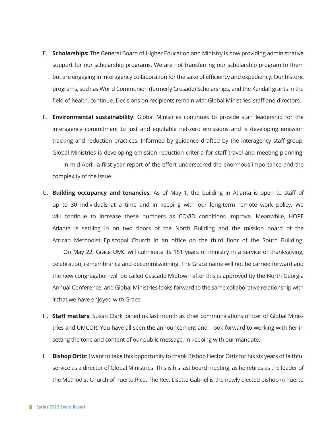- E. **Scholarships:** The General Board of Higher Education and Ministry is now providing administrative support for our scholarship programs. We are not transferring our scholarship program to them but are engaging in interagency collaboration for the sake of efficiency and expediency. Our historic programs, such as World Communion (formerly Crusade) Scholarships, and the Kendall grants in the field of health, continue. Decisions on recipients remain with Global Ministries' staff and directors.
- F. **Environmental sustainability**: Global Ministries continues to provide staff leadership for the interagency commitment to just and equitable net-zero emissions and is developing emission tracking and reduction practices. Informed by guidance drafted by the interagency staff group, Global Ministries is developing emission reduction criteria for staff travel and meeting planning.

In mid-April, a first-year report of the effort underscored the enormous importance and the complexity of the issue.

G. **Building occupancy and tenancies**: As of May 1, the building in Atlanta is open to staff of up to 30 individuals at a time and in keeping with our long-term remote work policy. We will continue to increase these numbers as COVID conditions improve. Meanwhile, HOPE Atlanta is settling in on two floors of the North Building and the mission board of the African Methodist Episcopal Church in an office on the third floor of the South Building.

On May 22, Grace UMC will culminate its 151 years of ministry in a service of thanksgiving, celebration, remembrance and decommissioning. The Grace name will not be carried forward and the new congregation will be called Cascade Midtown after this is approved by the North Georgia Annual Conference, and Global Ministries looks forward to the same collaborative relationship with it that we have enjoyed with Grace.

- H. **Staff matters**: Susan Clark joined us last month as chief communications officer of Global Ministries and UMCOR. You have all seen the announcement and I look forward to working with her in setting the tone and content of our public message, in keeping with our mandate.
- I. **Bishop Ortiz**: I want to take this opportunity to thank Bishop Hector Ortiz for his six years of faithful service as a director of Global Ministries. This is his last board meeting, as he retires as the leader of the Methodist Church of Puerto Rico. The Rev. Lisette Gabriel is the newly elected bishop in Puerto